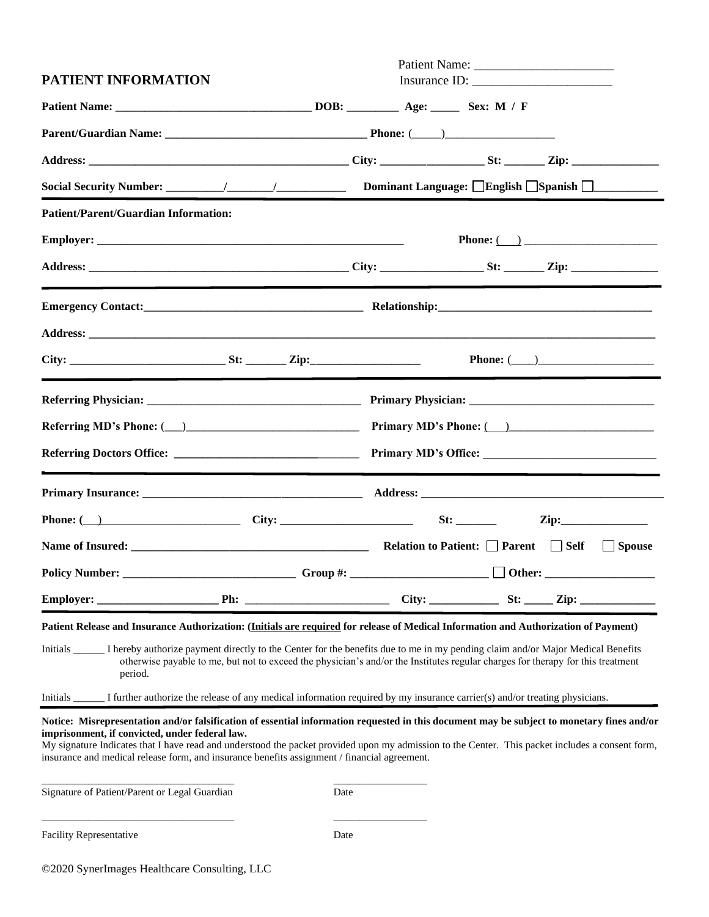| PATIENT INFORMATION                                                                                                                                                                                                                                                                                                                                                                                    |                                                                                                                                                                                                                                                                                                |
|--------------------------------------------------------------------------------------------------------------------------------------------------------------------------------------------------------------------------------------------------------------------------------------------------------------------------------------------------------------------------------------------------------|------------------------------------------------------------------------------------------------------------------------------------------------------------------------------------------------------------------------------------------------------------------------------------------------|
|                                                                                                                                                                                                                                                                                                                                                                                                        |                                                                                                                                                                                                                                                                                                |
|                                                                                                                                                                                                                                                                                                                                                                                                        |                                                                                                                                                                                                                                                                                                |
|                                                                                                                                                                                                                                                                                                                                                                                                        |                                                                                                                                                                                                                                                                                                |
|                                                                                                                                                                                                                                                                                                                                                                                                        |                                                                                                                                                                                                                                                                                                |
| <b>Patient/Parent/Guardian Information:</b>                                                                                                                                                                                                                                                                                                                                                            |                                                                                                                                                                                                                                                                                                |
|                                                                                                                                                                                                                                                                                                                                                                                                        | Phone: $\qquad \qquad$                                                                                                                                                                                                                                                                         |
|                                                                                                                                                                                                                                                                                                                                                                                                        |                                                                                                                                                                                                                                                                                                |
|                                                                                                                                                                                                                                                                                                                                                                                                        |                                                                                                                                                                                                                                                                                                |
|                                                                                                                                                                                                                                                                                                                                                                                                        |                                                                                                                                                                                                                                                                                                |
|                                                                                                                                                                                                                                                                                                                                                                                                        | Phone: $(\_\_)$                                                                                                                                                                                                                                                                                |
|                                                                                                                                                                                                                                                                                                                                                                                                        |                                                                                                                                                                                                                                                                                                |
|                                                                                                                                                                                                                                                                                                                                                                                                        | Referring MD's Phone: $\qquad \qquad$ Primary MD's Phone: $\qquad \qquad$                                                                                                                                                                                                                      |
|                                                                                                                                                                                                                                                                                                                                                                                                        |                                                                                                                                                                                                                                                                                                |
|                                                                                                                                                                                                                                                                                                                                                                                                        |                                                                                                                                                                                                                                                                                                |
| Phone: $\qquad \qquad$ $\qquad \qquad$ $\qquad \qquad$ $\qquad \qquad$ $\qquad \qquad$ $\qquad \qquad$ $\qquad \qquad$ $\qquad \qquad$ $\qquad \qquad$ $\qquad \qquad$ $\qquad \qquad$ $\qquad \qquad$ $\qquad \qquad$ $\qquad \qquad$ $\qquad \qquad$ $\qquad \qquad$ $\qquad \qquad$ $\qquad \qquad$ $\qquad \qquad$ $\qquad \qquad$ $\qquad \qquad$ $\qquad \qquad$ $\qquad \qquad$ $\qquad \qquad$ | $\sum_{i=1}^{n}$                                                                                                                                                                                                                                                                               |
| Name of Insured: Self Self                                                                                                                                                                                                                                                                                                                                                                             | Spouse                                                                                                                                                                                                                                                                                         |
| <b>Policy Number:</b><br>$\overline{\phantom{a}}$ Group #:                                                                                                                                                                                                                                                                                                                                             | $\Box$ Other:                                                                                                                                                                                                                                                                                  |
|                                                                                                                                                                                                                                                                                                                                                                                                        |                                                                                                                                                                                                                                                                                                |
| Patient Release and Insurance Authorization: (Initials are required for release of Medical Information and Authorization of Payment)<br>Initials ________ I hereby authorize payment directly to the Center for the benefits due to me in my pending claim and/or Major Medical Benefits<br>period.                                                                                                    | otherwise payable to me, but not to exceed the physician's and/or the Institutes regular charges for therapy for this treatment                                                                                                                                                                |
| Initials Interventional Information required by my insurance carrier(s) and/or treating physicians.                                                                                                                                                                                                                                                                                                    |                                                                                                                                                                                                                                                                                                |
| imprisonment, if convicted, under federal law.<br>insurance and medical release form, and insurance benefits assignment / financial agreement.                                                                                                                                                                                                                                                         | Notice: Misrepresentation and/or falsification of essential information requested in this document may be subject to monetary fines and/or<br>My signature Indicates that I have read and understood the packet provided upon my admission to the Center. This packet includes a consent form, |
| Signature of Patient/Parent or Legal Guardian<br>Date                                                                                                                                                                                                                                                                                                                                                  |                                                                                                                                                                                                                                                                                                |
| <b>Facility Representative</b><br>Date                                                                                                                                                                                                                                                                                                                                                                 |                                                                                                                                                                                                                                                                                                |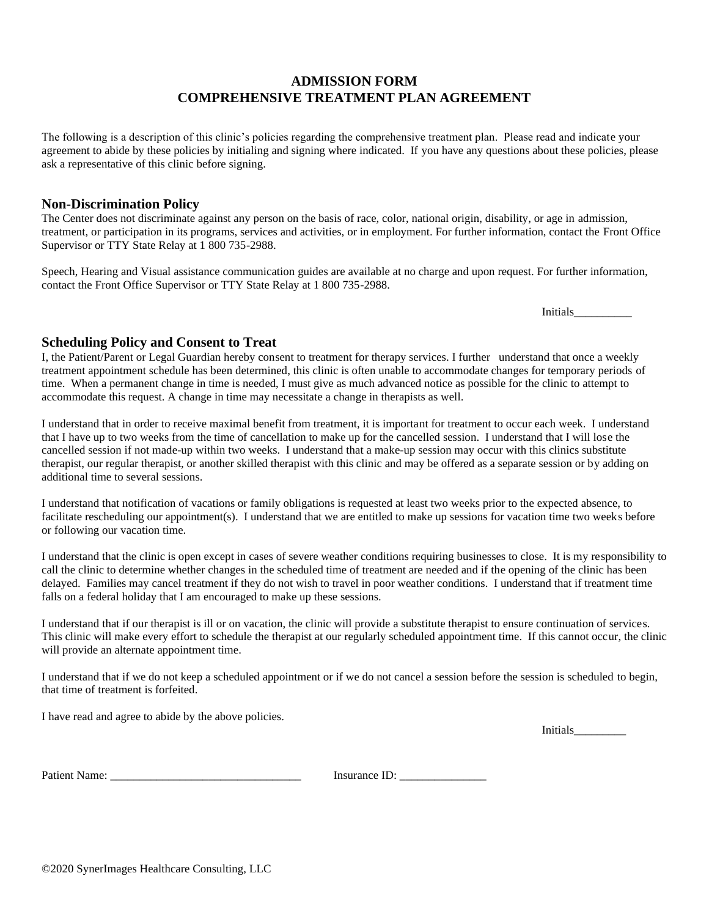## **ADMISSION FORM COMPREHENSIVE TREATMENT PLAN AGREEMENT**

The following is a description of this clinic's policies regarding the comprehensive treatment plan. Please read and indicate your agreement to abide by these policies by initialing and signing where indicated. If you have any questions about these policies, please ask a representative of this clinic before signing.

#### **Non-Discrimination Policy**

The Center does not discriminate against any person on the basis of race, color, national origin, disability, or age in admission, treatment, or participation in its programs, services and activities, or in employment. For further information, contact the Front Office Supervisor or TTY State Relay at 1 800 735-2988.

Speech, Hearing and Visual assistance communication guides are available at no charge and upon request. For further information, contact the Front Office Supervisor or TTY State Relay at 1 800 735-2988.

Initials\_\_\_\_\_\_\_\_\_\_

#### **Scheduling Policy and Consent to Treat**

I, the Patient/Parent or Legal Guardian hereby consent to treatment for therapy services. I further understand that once a weekly treatment appointment schedule has been determined, this clinic is often unable to accommodate changes for temporary periods of time. When a permanent change in time is needed, I must give as much advanced notice as possible for the clinic to attempt to accommodate this request. A change in time may necessitate a change in therapists as well.

I understand that in order to receive maximal benefit from treatment, it is important for treatment to occur each week. I understand that I have up to two weeks from the time of cancellation to make up for the cancelled session. I understand that I will lose the cancelled session if not made-up within two weeks. I understand that a make-up session may occur with this clinics substitute therapist, our regular therapist, or another skilled therapist with this clinic and may be offered as a separate session or by adding on additional time to several sessions.

I understand that notification of vacations or family obligations is requested at least two weeks prior to the expected absence, to facilitate rescheduling our appointment(s). I understand that we are entitled to make up sessions for vacation time two weeks before or following our vacation time.

I understand that the clinic is open except in cases of severe weather conditions requiring businesses to close. It is my responsibility to call the clinic to determine whether changes in the scheduled time of treatment are needed and if the opening of the clinic has been delayed. Families may cancel treatment if they do not wish to travel in poor weather conditions. I understand that if treatment time falls on a federal holiday that I am encouraged to make up these sessions.

I understand that if our therapist is ill or on vacation, the clinic will provide a substitute therapist to ensure continuation of services. This clinic will make every effort to schedule the therapist at our regularly scheduled appointment time. If this cannot occur, the clinic will provide an alternate appointment time.

I understand that if we do not keep a scheduled appointment or if we do not cancel a session before the session is scheduled to begin, that time of treatment is forfeited.

I have read and agree to abide by the above policies.

Initials\_\_\_\_\_\_\_\_\_

Patient Name: \_\_\_\_\_\_\_\_\_\_\_\_\_\_\_\_\_\_\_\_\_\_\_\_\_\_\_\_\_\_\_\_\_ Insurance ID: \_\_\_\_\_\_\_\_\_\_\_\_\_\_\_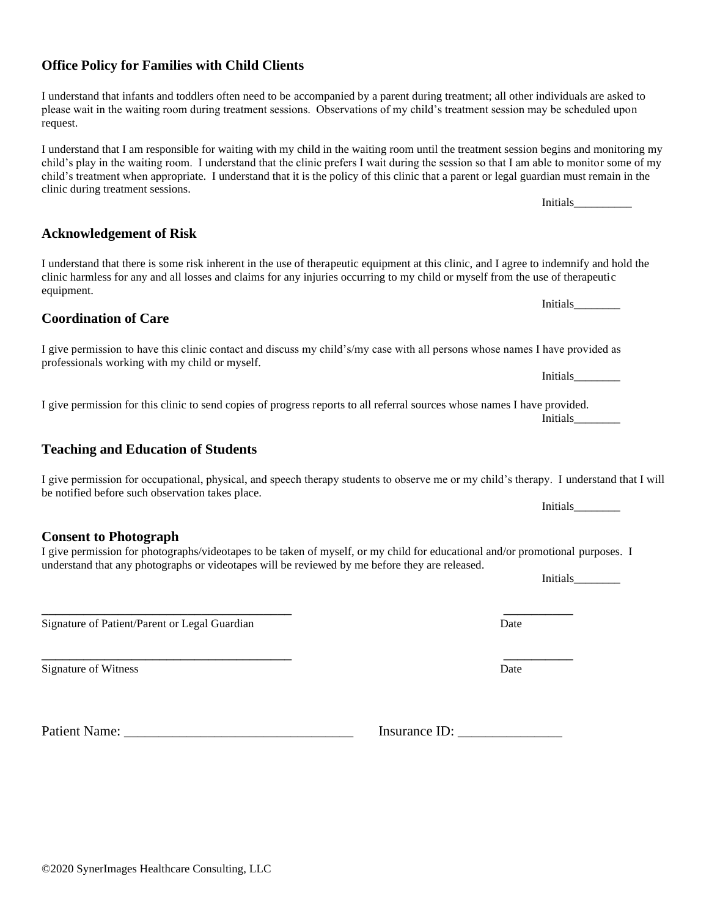#### **Office Policy for Families with Child Clients**

I understand that infants and toddlers often need to be accompanied by a parent during treatment; all other individuals are asked to please wait in the waiting room during treatment sessions. Observations of my child's treatment session may be scheduled upon request.

I understand that I am responsible for waiting with my child in the waiting room until the treatment session begins and monitoring my child's play in the waiting room. I understand that the clinic prefers I wait during the session so that I am able to monitor some of my child's treatment when appropriate. I understand that it is the policy of this clinic that a parent or legal guardian must remain in the clinic during treatment sessions.

**Acknowledgement of Risk**

I understand that there is some risk inherent in the use of therapeutic equipment at this clinic, and I agree to indemnify and hold the clinic harmless for any and all losses and claims for any injuries occurring to my child or myself from the use of therapeutic equipment. Initials

#### **Coordination of Care**

I give permission to have this clinic contact and discuss my child's/my case with all persons whose names I have provided as professionals working with my child or myself.

I give permission for this clinic to send copies of progress reports to all referral sources whose names I have provided. Initials\_\_\_\_\_\_\_\_

## **Teaching and Education of Students**

| I give permission for occupational, physical, and speech therapy students to observe me or my child's therapy. I understand that I will<br>be notified before such observation takes place. |                 |
|---------------------------------------------------------------------------------------------------------------------------------------------------------------------------------------------|-----------------|
|                                                                                                                                                                                             | <i>Initials</i> |

**Consent to Photograph** I give permission for photographs/videotapes to be taken of myself, or my child for educational and/or promotional purposes. I

**\_\_\_\_\_\_\_\_\_\_\_\_\_\_\_\_\_\_\_\_\_\_\_\_\_\_\_\_\_\_\_\_\_\_\_\_ \_\_\_\_\_\_\_\_\_\_**

understand that any photographs or videotapes will be reviewed by me before they are released.

Signature of Patient/Parent or Legal Guardian Date News, 2008. Clear Date Date News, 2014

Signature of Witness Date

Patient Name: \_\_\_\_\_\_\_\_\_\_\_\_\_\_\_\_\_\_\_\_\_\_\_\_\_\_\_\_\_\_\_\_\_ Insurance ID: \_\_\_\_\_\_\_\_\_\_\_\_\_\_\_

Initials\_\_\_\_\_\_\_\_

Initials

**\_\_\_\_\_\_\_\_\_\_\_\_\_\_\_\_\_\_\_\_\_\_\_\_\_\_\_\_\_\_\_\_\_\_\_\_ \_\_\_\_\_\_\_\_\_\_**

Initials\_\_\_\_\_\_\_\_\_\_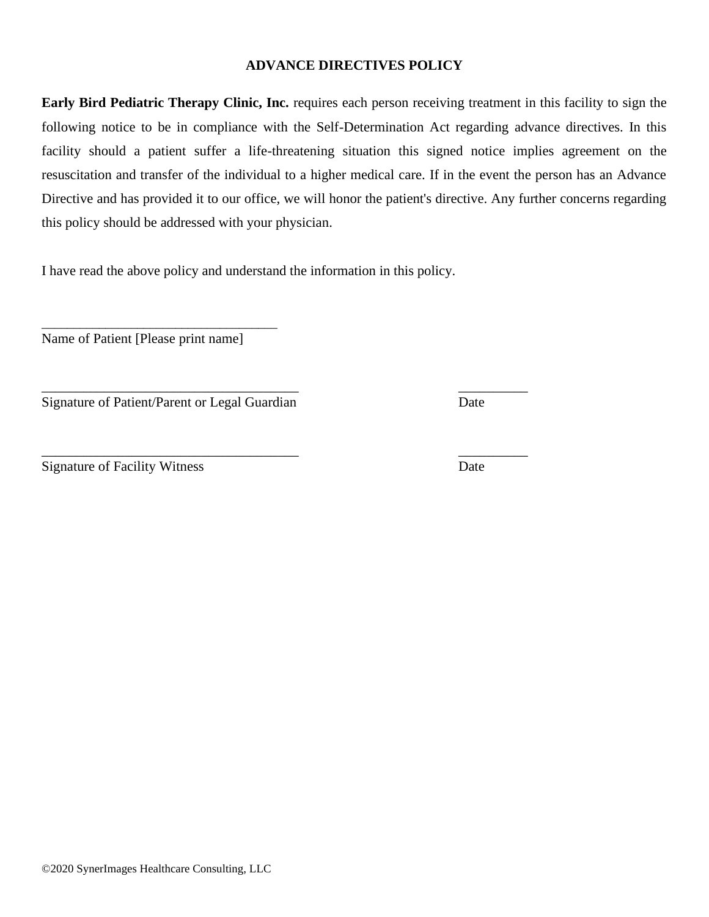#### **ADVANCE DIRECTIVES POLICY**

**Early Bird Pediatric Therapy Clinic, Inc.** requires each person receiving treatment in this facility to sign the following notice to be in compliance with the Self-Determination Act regarding advance directives. In this facility should a patient suffer a life-threatening situation this signed notice implies agreement on the resuscitation and transfer of the individual to a higher medical care. If in the event the person has an Advance Directive and has provided it to our office, we will honor the patient's directive. Any further concerns regarding this policy should be addressed with your physician.

I have read the above policy and understand the information in this policy.

\_\_\_\_\_\_\_\_\_\_\_\_\_\_\_\_\_\_\_\_\_\_\_\_\_\_\_\_\_\_\_\_\_\_\_\_\_ \_\_\_\_\_\_\_\_\_\_

Name of Patient [Please print name]

\_\_\_\_\_\_\_\_\_\_\_\_\_\_\_\_\_\_\_\_\_\_\_\_\_\_\_\_\_\_\_\_\_\_\_\_\_

Signature of Patient/Parent or Legal Guardian Date

Signature of Facility Witness Date

\_\_\_\_\_\_\_\_\_\_\_\_\_\_\_\_\_\_\_\_\_\_\_\_\_\_\_\_\_\_\_\_\_\_\_\_\_ \_\_\_\_\_\_\_\_\_\_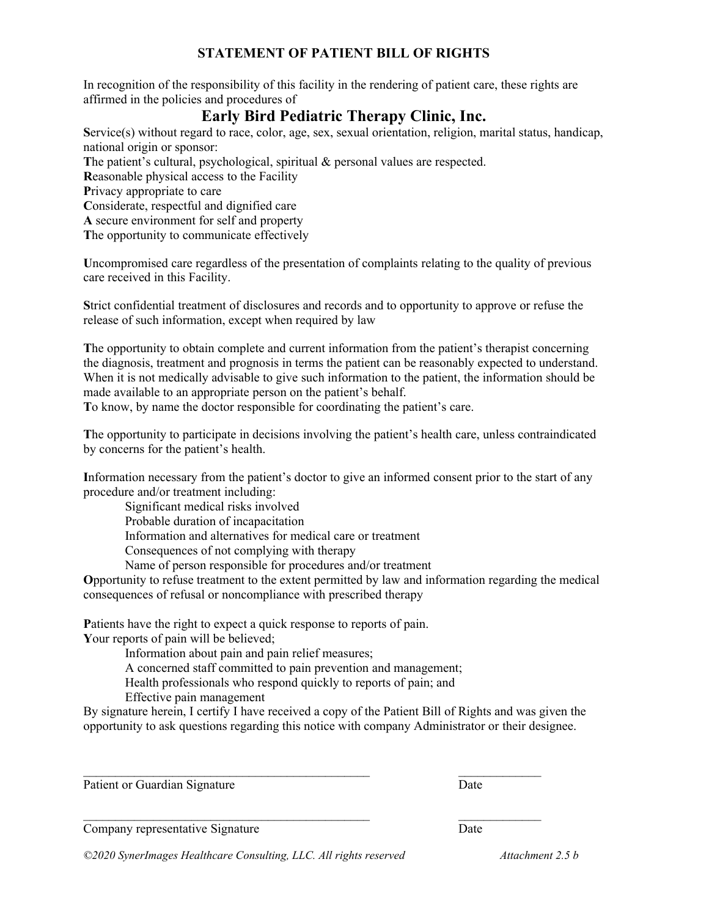## **STATEMENT OF PATIENT BILL OF RIGHTS**

In recognition of the responsibility of this facility in the rendering of patient care, these rights are affirmed in the policies and procedures of

# **Early Bird Pediatric Therapy Clinic, Inc.**

**S**ervice(s) without regard to race, color, age, sex, sexual orientation, religion, marital status, handicap, national origin or sponsor:

The patient's cultural, psychological, spiritual & personal values are respected.

**R**easonable physical access to the Facility

**P**rivacy appropriate to care

**C**onsiderate, respectful and dignified care

**A** secure environment for self and property

**T**he opportunity to communicate effectively

**U**ncompromised care regardless of the presentation of complaints relating to the quality of previous care received in this Facility.

**S**trict confidential treatment of disclosures and records and to opportunity to approve or refuse the release of such information, except when required by law

**T**he opportunity to obtain complete and current information from the patient's therapist concerning the diagnosis, treatment and prognosis in terms the patient can be reasonably expected to understand. When it is not medically advisable to give such information to the patient, the information should be made available to an appropriate person on the patient's behalf.

**T**o know, by name the doctor responsible for coordinating the patient's care.

**T**he opportunity to participate in decisions involving the patient's health care, unless contraindicated by concerns for the patient's health.

**I**nformation necessary from the patient's doctor to give an informed consent prior to the start of any procedure and/or treatment including:

Significant medical risks involved

Probable duration of incapacitation

Information and alternatives for medical care or treatment

Consequences of not complying with therapy

Name of person responsible for procedures and/or treatment

**O**pportunity to refuse treatment to the extent permitted by law and information regarding the medical consequences of refusal or noncompliance with prescribed therapy

**P**atients have the right to expect a quick response to reports of pain. **Y**our reports of pain will be believed;

Information about pain and pain relief measures;

A concerned staff committed to pain prevention and management;

Health professionals who respond quickly to reports of pain; and

Effective pain management

By signature herein, I certify I have received a copy of the Patient Bill of Rights and was given the opportunity to ask questions regarding this notice with company Administrator or their designee.

 $\mathcal{L}_\text{max} = \mathcal{L}_\text{max} = \mathcal{L}_\text{max} = \mathcal{L}_\text{max} = \mathcal{L}_\text{max} = \mathcal{L}_\text{max} = \mathcal{L}_\text{max} = \mathcal{L}_\text{max} = \mathcal{L}_\text{max} = \mathcal{L}_\text{max} = \mathcal{L}_\text{max} = \mathcal{L}_\text{max} = \mathcal{L}_\text{max} = \mathcal{L}_\text{max} = \mathcal{L}_\text{max} = \mathcal{L}_\text{max} = \mathcal{L}_\text{max} = \mathcal{L}_\text{max} = \mathcal{$ 

Patient or Guardian Signature Date

 $\mathcal{L}_\text{max} = \mathcal{L}_\text{max} = \mathcal{L}_\text{max} = \mathcal{L}_\text{max} = \mathcal{L}_\text{max} = \mathcal{L}_\text{max} = \mathcal{L}_\text{max} = \mathcal{L}_\text{max} = \mathcal{L}_\text{max} = \mathcal{L}_\text{max} = \mathcal{L}_\text{max} = \mathcal{L}_\text{max} = \mathcal{L}_\text{max} = \mathcal{L}_\text{max} = \mathcal{L}_\text{max} = \mathcal{L}_\text{max} = \mathcal{L}_\text{max} = \mathcal{L}_\text{max} = \mathcal{$ 

Company representative Signature Date

*©2020 SynerImages Healthcare Consulting, LLC. All rights reserved Attachment 2.5 b*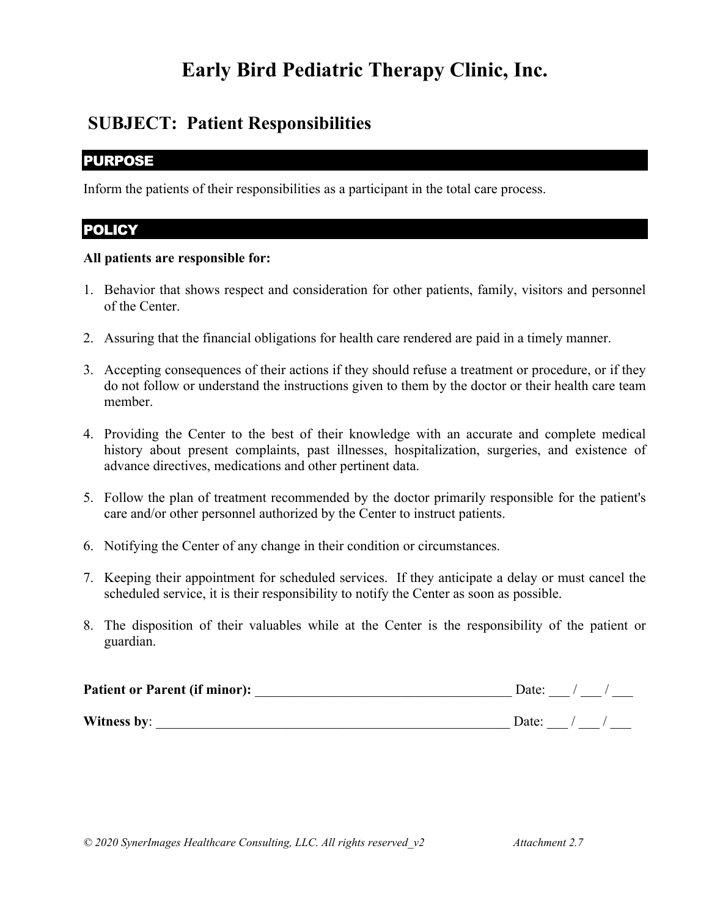# **Early Bird Pediatric Therapy Clinic, Inc.**

# **SUBJECT: Patient Responsibilities**

# PURPOSE

Inform the patients of their responsibilities as a participant in the total care process.

# **POLICY**

## **All patients are responsible for:**

- 1. Behavior that shows respect and consideration for other patients, family, visitors and personnel of the Center.
- 2. Assuring that the financial obligations for health care rendered are paid in a timely manner.
- 3. Accepting consequences of their actions if they should refuse a treatment or procedure, or if they do not follow or understand the instructions given to them by the doctor or their health care team member.
- 4. Providing the Center to the best of their knowledge with an accurate and complete medical history about present complaints, past illnesses, hospitalization, surgeries, and existence of advance directives, medications and other pertinent data.
- 5. Follow the plan of treatment recommended by the doctor primarily responsible for the patient's care and/or other personnel authorized by the Center to instruct patients.
- 6. Notifying the Center of any change in their condition or circumstances.
- 7. Keeping their appointment for scheduled services. If they anticipate a delay or must cancel the scheduled service, it is their responsibility to notify the Center as soon as possible.
- 8. The disposition of their valuables while at the Center is the responsibility of the patient or guardian.

| <b>Patient or Parent (if minor):</b> | Date: |  |
|--------------------------------------|-------|--|
| Witness by:                          | Date: |  |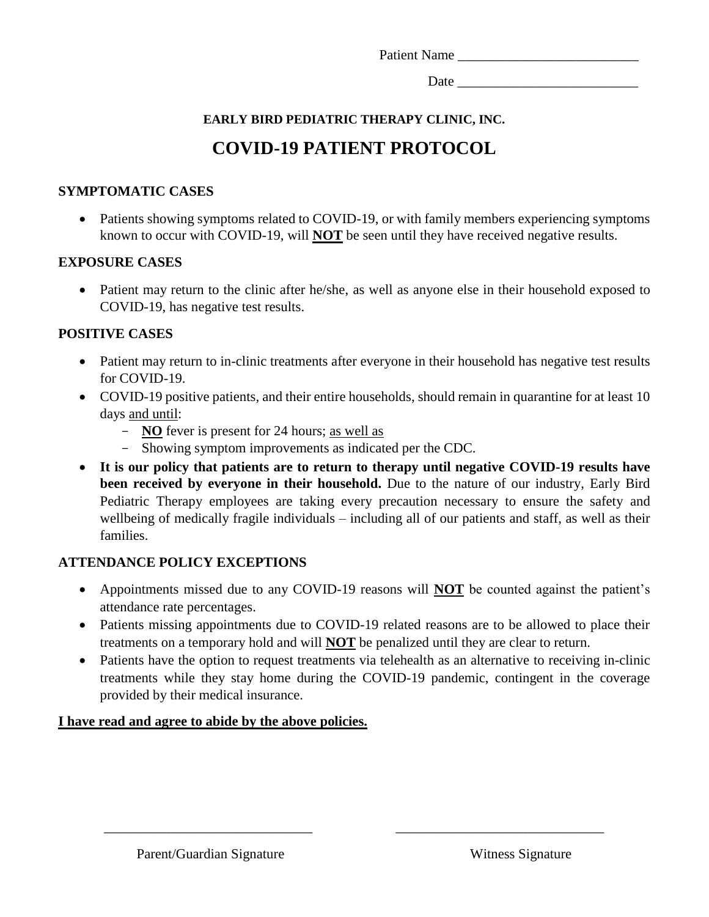Patient Name

Date  $\Box$ 

# **EARLY BIRD PEDIATRIC THERAPY CLINIC, INC.**

# **COVID-19 PATIENT PROTOCOL**

## **SYMPTOMATIC CASES**

• Patients showing symptoms related to COVID-19, or with family members experiencing symptoms known to occur with COVID-19, will **NOT** be seen until they have received negative results.

## **EXPOSURE CASES**

• Patient may return to the clinic after he/she, as well as anyone else in their household exposed to COVID-19, has negative test results.

## **POSITIVE CASES**

- Patient may return to in-clinic treatments after everyone in their household has negative test results for COVID-19.
- COVID-19 positive patients, and their entire households, should remain in quarantine for at least 10 days and until:
	- **NO** fever is present for 24 hours; as well as
	- Showing symptom improvements as indicated per the CDC.
- **It is our policy that patients are to return to therapy until negative COVID-19 results have been received by everyone in their household.** Due to the nature of our industry, Early Bird Pediatric Therapy employees are taking every precaution necessary to ensure the safety and wellbeing of medically fragile individuals – including all of our patients and staff, as well as their families.

## **ATTENDANCE POLICY EXCEPTIONS**

- Appointments missed due to any COVID-19 reasons will **NOT** be counted against the patient's attendance rate percentages.
- Patients missing appointments due to COVID-19 related reasons are to be allowed to place their treatments on a temporary hold and will **NOT** be penalized until they are clear to return.
- Patients have the option to request treatments via telehealth as an alternative to receiving in-clinic treatments while they stay home during the COVID-19 pandemic, contingent in the coverage provided by their medical insurance.

\_\_\_\_\_\_\_\_\_\_\_\_\_\_\_\_\_\_\_\_\_\_\_\_\_\_\_\_\_\_ \_\_\_\_\_\_\_\_\_\_\_\_\_\_\_\_\_\_\_\_\_\_\_\_\_\_\_\_\_\_

## **I have read and agree to abide by the above policies.**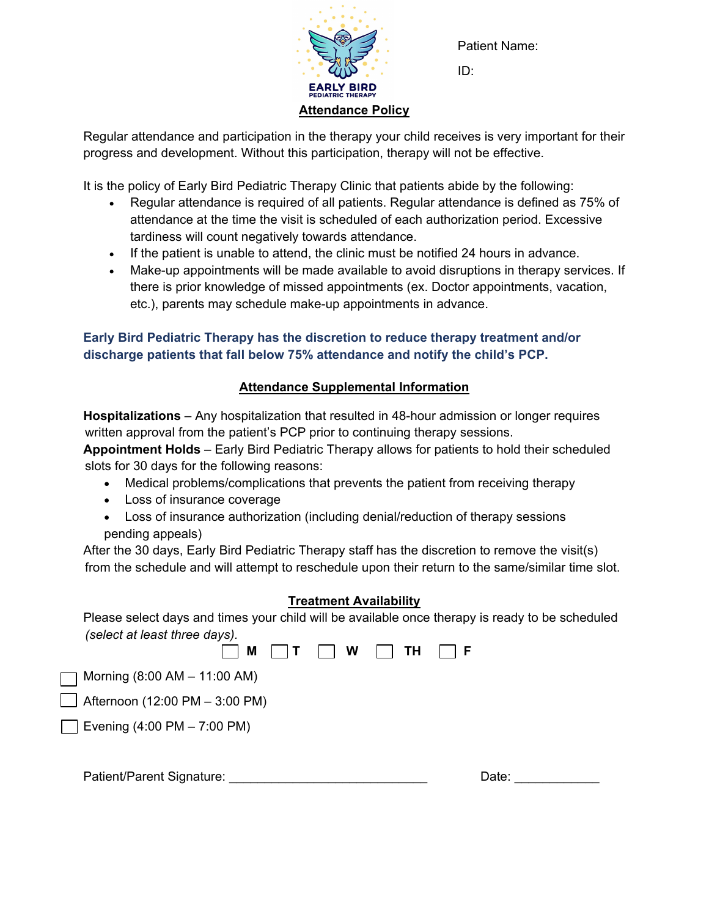

Patient Name:

ID:

Regular attendance and participation in the therapy your child receives is very important for their progress and development. Without this participation, therapy will not be effective.

It is the policy of Early Bird Pediatric Therapy Clinic that patients abide by the following:

- Regular attendance is required of all patients. Regular attendance is defined as 75% of attendance at the time the visit is scheduled of each authorization period. Excessive tardiness will count negatively towards attendance.
- If the patient is unable to attend, the clinic must be notified 24 hours in advance.
- Make-up appointments will be made available to avoid disruptions in therapy services. If there is prior knowledge of missed appointments (ex. Doctor appointments, vacation, etc.), parents may schedule make-up appointments in advance.

## **Early Bird Pediatric Therapy has the discretion to reduce therapy treatment and/or discharge patients that fall below 75% attendance and notify the child's PCP.**

# **Attendance Supplemental Information**

**Hospitalizations** – Any hospitalization that resulted in 48-hour admission or longer requires written approval from the patient's PCP prior to continuing therapy sessions.

**Appointment Holds** – Early Bird Pediatric Therapy allows for patients to hold their scheduled slots for 30 days for the following reasons:

- Medical problems/complications that prevents the patient from receiving therapy
- Loss of insurance coverage
- Loss of insurance authorization (including denial/reduction of therapy sessions pending appeals)

After the 30 days, Early Bird Pediatric Therapy staff has the discretion to remove the visit(s) from the schedule and will attempt to reschedule upon their return to the same/similar time slot.

## **Treatment Availability**

Please select days and times your child will be available once therapy is ready to be scheduled *(select at least three days).*

|                                               |  | $M \cap T \cap W \cap TH \cap F$ |  |
|-----------------------------------------------|--|----------------------------------|--|
| Morning (8:00 AM - 11:00 AM)<br>$\Box$        |  |                                  |  |
| $\Box$ Afternoon (12:00 PM - 3:00 PM)         |  |                                  |  |
| Evening $(4:00 \text{ PM} - 7:00 \text{ PM})$ |  |                                  |  |
|                                               |  |                                  |  |
|                                               |  |                                  |  |

Patient/Parent Signature: \_\_\_\_\_\_\_\_\_\_\_\_\_\_\_\_\_\_\_\_\_\_\_\_\_\_\_\_ Date: \_\_\_\_\_\_\_\_\_\_\_\_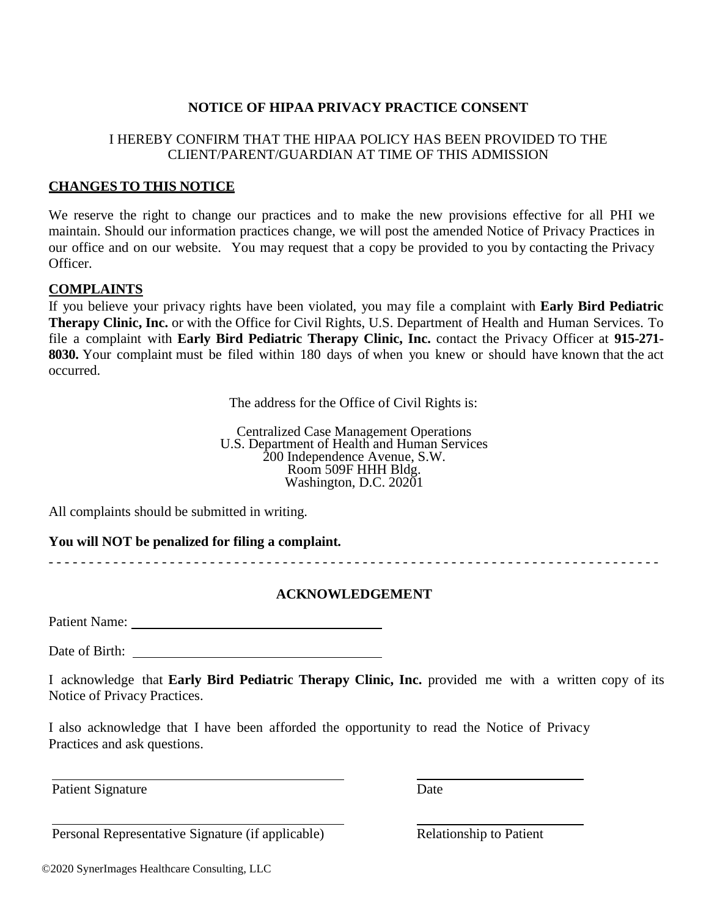### **NOTICE OF HIPAA PRIVACY PRACTICE CONSENT**

### I HEREBY CONFIRM THAT THE HIPAA POLICY HAS BEEN PROVIDED TO THE CLIENT/PARENT/GUARDIAN AT TIME OF THIS ADMISSION

#### **CHANGES TO THIS NOTICE**

We reserve the right to change our practices and to make the new provisions effective for all PHI we maintain. Should our information practices change, we will post the amended Notice of Privacy Practices in our office and on our website. You may request that a copy be provided to you by contacting the Privacy Officer.

#### **COMPLAINTS**

If you believe your privacy rights have been violated, you may file a complaint with **Early Bird Pediatric Therapy Clinic, Inc.** or with the Office for Civil Rights, U.S. Department of Health and Human Services. To file a complaint with **Early Bird Pediatric Therapy Clinic, Inc.** contact the Privacy Officer at **915-271- 8030.** Your complaint must be filed within 180 days of when you knew or should have known that the act occurred.

The address for the Office of Civil Rights is:

Centralized Case Management Operations U.S. Department of Health and Human Services 200 Independence Avenue, S.W. Room 509F HHH Bldg. Washington, D.C. 20201

All complaints should be submitted in writing.

**You will NOT be penalized for filing a complaint.**

- - - - - - - - - - - - - - - - - - - - - - - - - - - - - - - - - - - - - - - - - - - - - - - - - - - - - - - - - - - - - - - - - - - - - - - - - - - -

#### **ACKNOWLEDGEMENT**

Patient Name:

Date of Birth:

I acknowledge that **Early Bird Pediatric Therapy Clinic, Inc.** provided me with a written copy of its Notice of Privacy Practices.

I also acknowledge that I have been afforded the opportunity to read the Notice of Privacy Practices and ask questions.

Patient Signature Date

Personal Representative Signature (if applicable) Relationship to Patient

©2020 SynerImages Healthcare Consulting, LLC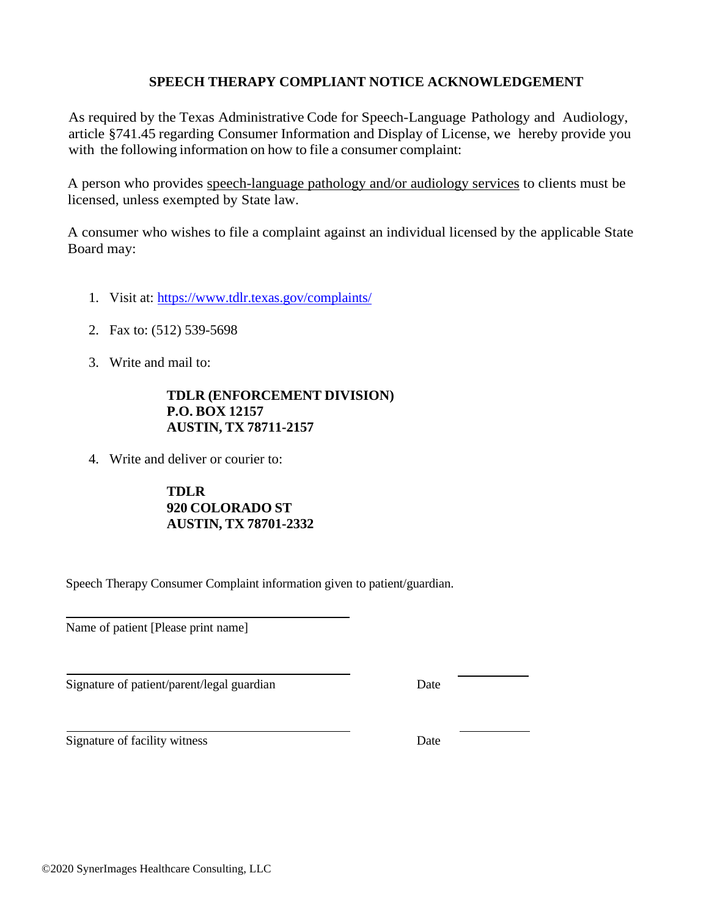### **SPEECH THERAPY COMPLIANT NOTICE ACKNOWLEDGEMENT**

As required by the Texas Administrative Code for Speech-Language Pathology and Audiology, article §741.45 regarding Consumer Information and Display of License, we hereby provide you with the following information on how to file a consumer complaint:

A person who provides speech-language pathology and/or audiology services to clients must be licensed, unless exempted by State law.

A consumer who wishes to file a complaint against an individual licensed by the applicable State Board may:

- 1. Visit at: <https://www.tdlr.texas.gov/complaints/>
- 2. Fax to: (512) 539-5698
- 3. Write and mail to:

#### **TDLR (ENFORCEMENT DIVISION) P.O. BOX 12157 AUSTIN, TX 78711-2157**

4. Write and deliver or courier to:

**TDLR 920 COLORADO ST AUSTIN, TX 78701-2332**

Speech Therapy Consumer Complaint information given to patient/guardian.

Name of patient [Please print name]

Signature of patient/parent/legal guardian Date

Signature of facility witness Date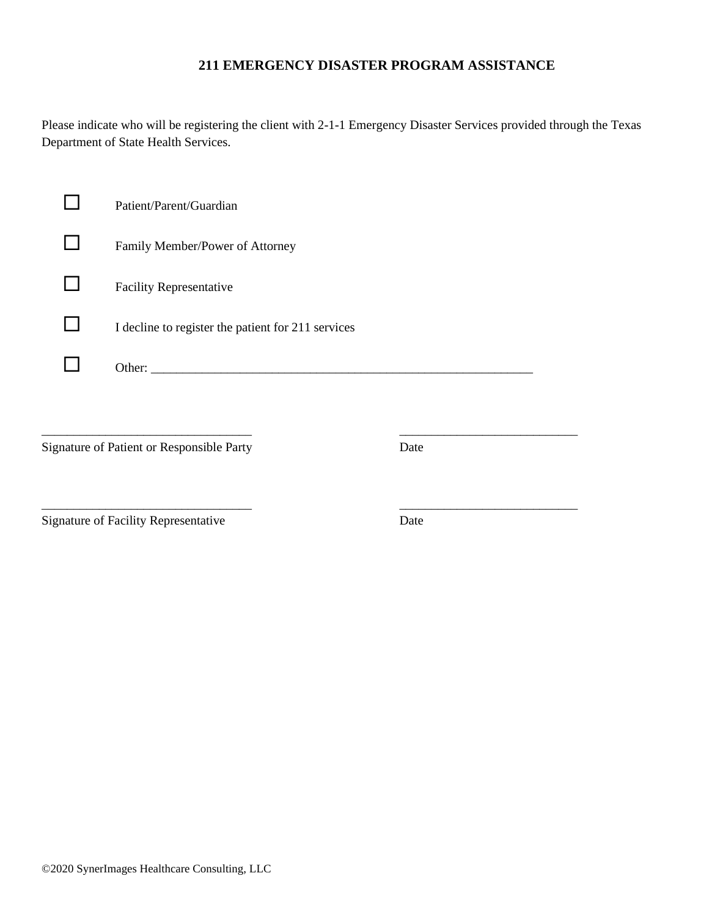#### **211 EMERGENCY DISASTER PROGRAM ASSISTANCE**

Please indicate who will be registering the client with 2-1-1 Emergency Disaster Services provided through the Texas Department of State Health Services.

| Patient/Parent/Guardian                            |
|----------------------------------------------------|
| Family Member/Power of Attorney                    |
| <b>Facility Representative</b>                     |
| I decline to register the patient for 211 services |
| Other:                                             |

\_\_\_\_\_\_\_\_\_\_\_\_\_\_\_\_\_\_\_\_\_\_\_\_\_\_\_\_\_\_\_\_\_ \_\_\_\_\_\_\_\_\_\_\_\_\_\_\_\_\_\_\_\_\_\_\_\_\_\_\_\_

\_\_\_\_\_\_\_\_\_\_\_\_\_\_\_\_\_\_\_\_\_\_\_\_\_\_\_\_\_\_\_\_\_ \_\_\_\_\_\_\_\_\_\_\_\_\_\_\_\_\_\_\_\_\_\_\_\_\_\_\_\_

Signature of Patient or Responsible Party Date

Signature of Facility Representative Date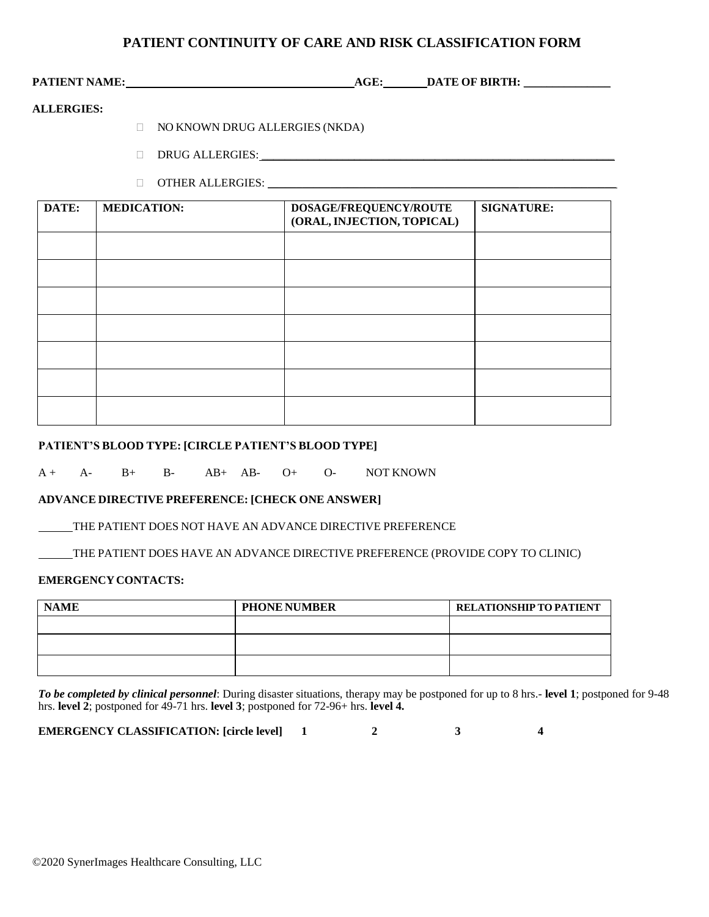#### **PATIENT CONTINUITY OF CARE AND RISK CLASSIFICATION FORM**

PATIENT NAME:  $\qquad \qquad \text{AGE:} \qquad \qquad \text{DATE OF BIRTH:}$ 

#### **ALLERGIES:**

- NO KNOWN DRUG ALLERGIES (NKDA)
- DRUG ALLERGIES:
- OTHER ALLERGIES: \_\_\_\_\_\_\_\_\_\_\_\_\_\_\_\_\_\_\_\_\_\_\_\_\_\_\_\_\_\_\_\_\_\_\_\_\_\_\_\_\_\_\_\_\_\_\_\_\_\_\_\_\_\_\_\_\_\_\_\_\_

| DATE: | <b>MEDICATION:</b> | DOSAGE/FREQUENCY/ROUTE<br>(ORAL, INJECTION, TOPICAL) | <b>SIGNATURE:</b> |
|-------|--------------------|------------------------------------------------------|-------------------|
|       |                    |                                                      |                   |
|       |                    |                                                      |                   |
|       |                    |                                                      |                   |
|       |                    |                                                      |                   |
|       |                    |                                                      |                   |
|       |                    |                                                      |                   |
|       |                    |                                                      |                   |

#### **PATIENT'S BLOOD TYPE: [CIRCLE PATIENT'S BLOOD TYPE]**

A + A- B+ B- AB+ AB- O+ O- NOT KNOWN

#### **ADVANCE DIRECTIVE PREFERENCE: [CHECK ONE ANSWER]**

THE PATIENT DOES NOT HAVE AN ADVANCE DIRECTIVE PREFERENCE

THE PATIENT DOES HAVE AN ADVANCE DIRECTIVE PREFERENCE (PROVIDE COPY TO CLINIC)

#### **EMERGENCYCONTACTS:**

| <b>NAME</b> | <b>PHONE NUMBER</b> | <b>RELATIONSHIP TO PATIENT</b> |
|-------------|---------------------|--------------------------------|
|             |                     |                                |
|             |                     |                                |
|             |                     |                                |

*To be completed by clinical personnel*: During disaster situations, therapy may be postponed for up to 8 hrs.- **level 1**; postponed for 9-48 hrs. **level 2**; postponed for 49-71 hrs. **level 3**; postponed for 72-96+ hrs. **level 4.**

**EMERGENCY CLASSIFICATION: [circle level] 1 2 3 4**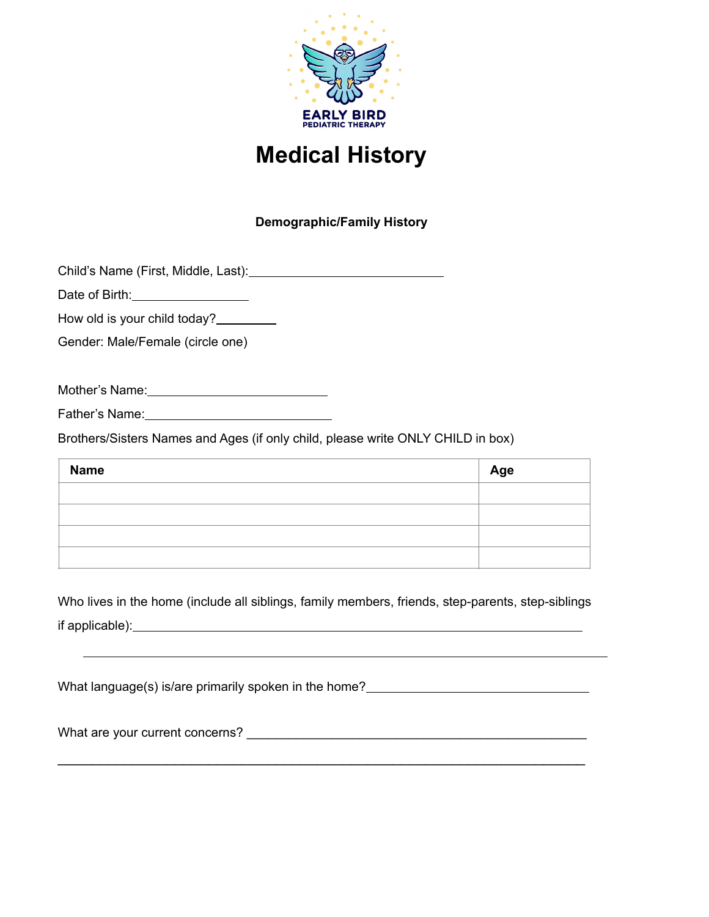

# **Medical History**

# **Demographic/Family History**

Child's Name (First, Middle, Last):

Date of Birth: 2008

How old is your child today?\_\_\_\_\_\_\_\_

Gender: Male/Female (circle one)

Mother's Name: 1988 Mother's Name:

Father's Name: Manual Manual Manual Manual Manual Manual Manual Manual Manual Manual Manual Manual Manual Manual Manual Manual Manual Manual Manual Manual Manual Manual Manual Manual Manual Manual Manual Manual Manual Manu

Brothers/Sisters Names and Ages (if only child, please write ONLY CHILD in box)

| <b>Name</b> | Age |
|-------------|-----|
|             |     |
|             |     |
|             |     |
|             |     |

Who lives in the home (include all siblings, family members, friends, step-parents, step-siblings if applicable):

What language(s) is/are primarily spoken in the home?

\_\_\_\_\_\_\_\_\_\_\_\_\_\_\_\_\_\_\_\_\_\_\_\_\_\_\_\_\_\_\_\_\_\_\_\_\_\_\_\_\_\_\_\_\_\_\_\_\_\_\_\_\_\_\_\_\_\_\_\_\_\_\_

What are your current concerns? **Example 2008**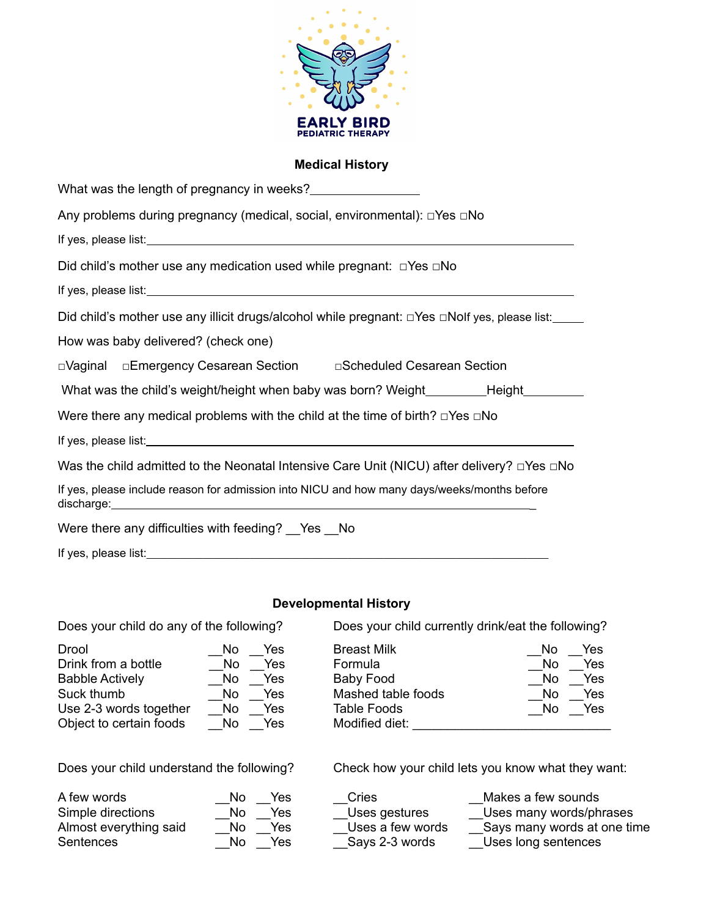

#### **Medical History**

| What was the length of pregnancy in weeks?                                                                                                                                                                                           |  |  |  |
|--------------------------------------------------------------------------------------------------------------------------------------------------------------------------------------------------------------------------------------|--|--|--|
| Any problems during pregnancy (medical, social, environmental): $\Box$ Yes $\Box$ No                                                                                                                                                 |  |  |  |
|                                                                                                                                                                                                                                      |  |  |  |
| Did child's mother use any medication used while pregnant: $\Box$ Yes $\Box$ No                                                                                                                                                      |  |  |  |
| If yes, please list: <u>and a set of the set of the set of the set of the set of the set of the set of the set of the set of the set of the set of the set of the set of the set of the set of the set of the set of the set of </u> |  |  |  |
| Did child's mother use any illicit drugs/alcohol while pregnant: $\Box$ Yes $\Box$ Nolf yes, please list:                                                                                                                            |  |  |  |
| How was baby delivered? (check one)                                                                                                                                                                                                  |  |  |  |
| □Vaginal □Emergency Cesarean Section □ □Scheduled Cesarean Section                                                                                                                                                                   |  |  |  |
| What was the child's weight/height when baby was born? Weight__________Height_______                                                                                                                                                 |  |  |  |
| Were there any medical problems with the child at the time of birth? $\square$ Yes $\square$ No                                                                                                                                      |  |  |  |
|                                                                                                                                                                                                                                      |  |  |  |
| Was the child admitted to the Neonatal Intensive Care Unit (NICU) after delivery? $\square$ Yes $\square$ No                                                                                                                         |  |  |  |
| If yes, please include reason for admission into NICU and how many days/weeks/months before<br>discharge: <u>www.community.community.community.com</u>                                                                               |  |  |  |
| Were there any difficulties with feeding? __ Yes __ No                                                                                                                                                                               |  |  |  |

#### **Developmental History**

If yes, please list:\_\_\_\_\_\_\_\_\_\_\_\_\_\_\_\_\_\_\_\_\_\_\_\_\_\_\_\_\_\_\_\_\_\_\_\_\_\_\_\_\_\_\_\_\_\_\_\_\_\_\_\_\_\_\_\_\_\_\_\_\_\_\_\_\_\_\_\_\_\_\_\_\_\_\_\_\_\_

| Drool                   | Yes<br>No  | <b>Breast Milk</b> | Yes<br>No  |
|-------------------------|------------|--------------------|------------|
| Drink from a bottle     | Yes<br>No  | Formula            | Yes<br>No. |
| <b>Babble Actively</b>  | Yes<br>No. | Baby Food          | Yes<br>No. |
| Suck thumb              | Yes<br>No. | Mashed table foods | No.<br>Yes |
| Use 2-3 words together  | Yes<br>No. | <b>Table Foods</b> | Yes<br>No. |
| Object to certain foods | Yes<br>No  | Modified diet:     |            |

Does your child do any of the following? Does your child currently drink/eat the following?

| Drool                   | Yes<br>No | <b>Breast Milk</b> | Yes<br>No |
|-------------------------|-----------|--------------------|-----------|
| Drink from a bottle     | Yes<br>No | Formula            | Yes<br>No |
| <b>Babble Actively</b>  | Yes<br>No | Baby Food          | Yes<br>No |
| Suck thumb              | Yes<br>No | Mashed table foods | Yes<br>No |
| Use 2-3 words together  | Yes<br>No | <b>Table Foods</b> | Yes<br>No |
| Object to certain foods | Yes<br>No | Modified diet:     |           |

Does your child understand the following? Check how your child lets you know what they want:

| A few words            | N٥ | Yes |
|------------------------|----|-----|
| Simple directions      | N٥ | Yes |
| Almost everything said | N٥ | Yes |
| Sentences              | N٥ | Yes |

\_Cries \_\_Makes a few sounds<br>\_Uses gestures \_\_Uses many words/ph Uses many words/phrases Uses a few words  $\overline{\phantom{a}}$  Says many words at one time

Says 2-3 words \_\_\_\_\_\_\_\_\_Uses long sentences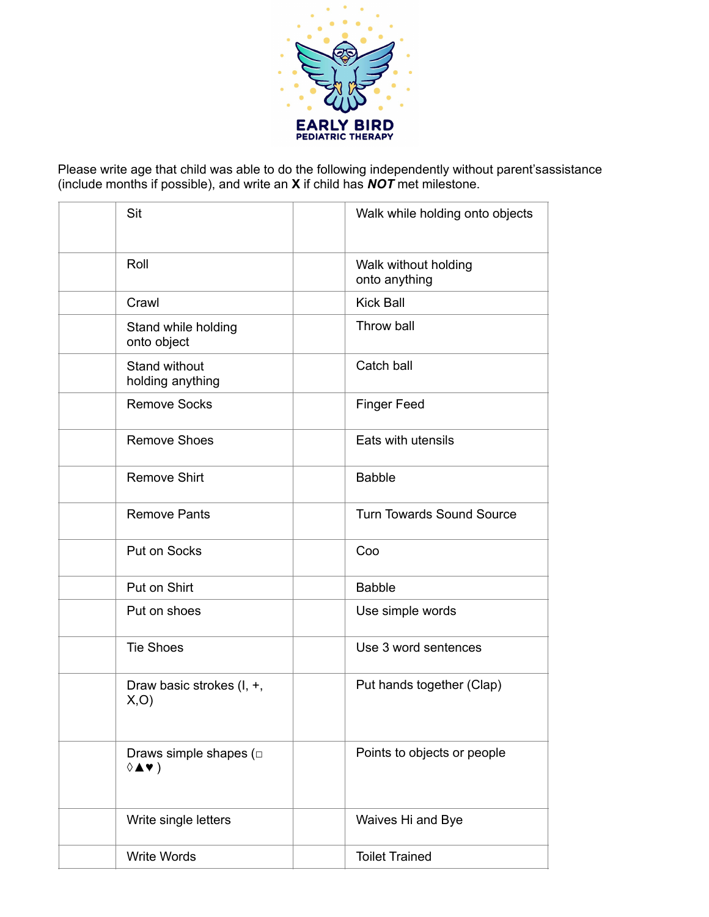

Please write age that child was able to do the following independently without parent's assistance (include months if possible), and write an **X** if child has *NOT* met milestone.

| Sit                                                                                     | Walk while holding onto objects       |
|-----------------------------------------------------------------------------------------|---------------------------------------|
| Roll                                                                                    | Walk without holding<br>onto anything |
| Crawl                                                                                   | <b>Kick Ball</b>                      |
| Stand while holding<br>onto object                                                      | Throw ball                            |
| Stand without<br>holding anything                                                       | Catch ball                            |
| <b>Remove Socks</b>                                                                     | <b>Finger Feed</b>                    |
| <b>Remove Shoes</b>                                                                     | Eats with utensils                    |
| <b>Remove Shirt</b>                                                                     | <b>Babble</b>                         |
| <b>Remove Pants</b>                                                                     | <b>Turn Towards Sound Source</b>      |
| Put on Socks                                                                            | Coo                                   |
| Put on Shirt                                                                            | <b>Babble</b>                         |
| Put on shoes                                                                            | Use simple words                      |
| <b>Tie Shoes</b>                                                                        | Use 3 word sentences                  |
| Draw basic strokes (I, +,<br>X, O                                                       | Put hands together (Clap)             |
| Draws simple shapes ( $\square$<br>$\Diamond$ $\blacktriangle$ $\blacktriangledown$ $)$ | Points to objects or people           |
| Write single letters                                                                    | Waives Hi and Bye                     |
| <b>Write Words</b>                                                                      | <b>Toilet Trained</b>                 |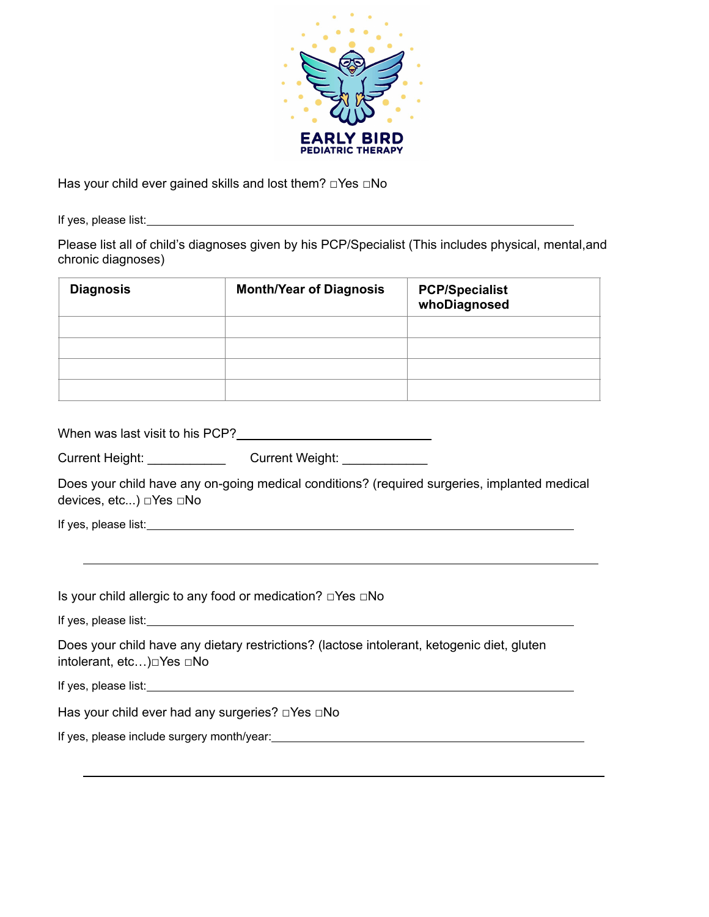

Has your child ever gained skills and lost them? □Yes □No

If yes, please list:

Please list all of child's diagnoses given by his PCP/Specialist (This includes physical, mental,and chronic diagnoses)

| <b>Diagnosis</b> | <b>Month/Year of Diagnosis</b> | <b>PCP/Specialist</b><br>whoDiagnosed |
|------------------|--------------------------------|---------------------------------------|
|                  |                                |                                       |
|                  |                                |                                       |
|                  |                                |                                       |
|                  |                                |                                       |

| When was last visit to his PCP? |
|---------------------------------|
|---------------------------------|

|  | Current Height: | <b>Current Weight:</b> |
|--|-----------------|------------------------|
|--|-----------------|------------------------|

Does your child have any on-going medical conditions? (required surgeries, implanted medical devices, etc...) □Yes □No

If yes, please list:

Is your child allergic to any food or medication? □Yes □No

If yes, please list:

Does your child have any dietary restrictions? (lactose intolerant, ketogenic diet, gluten intolerant, etc…)□Yes □No

If yes, please list:

Has your child ever had any surgeries? □Yes □No

If yes, please include surgery month/year:<br>
<u>If</u> yes, please include surgery month/year: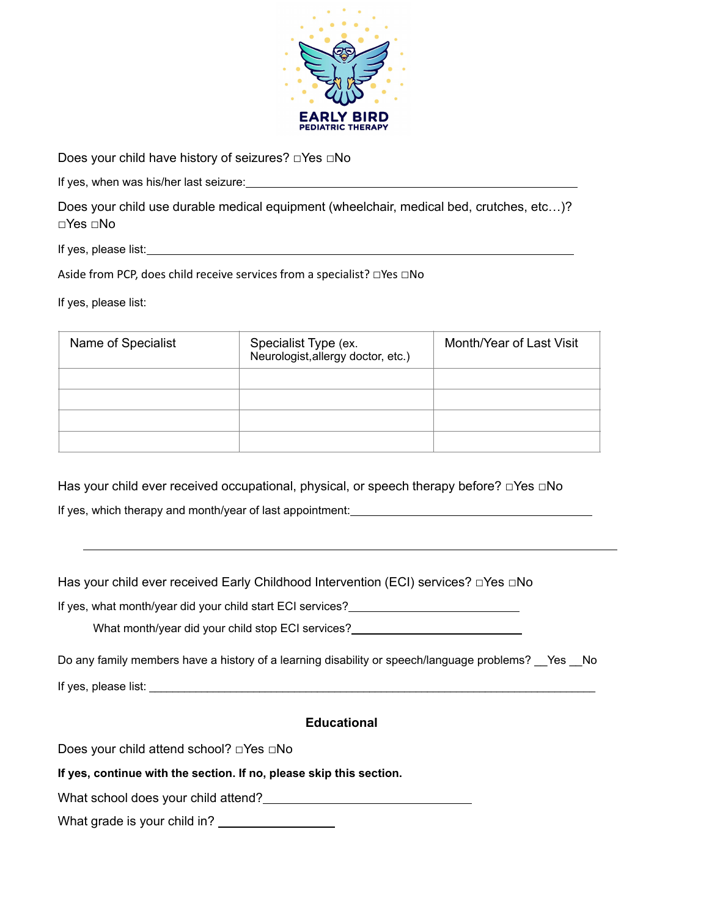

Does your child have history of seizures? □Yes □No

If yes, when was his/her last seizure:

Does your child use durable medical equipment (wheelchair, medical bed, crutches, etc…)? □Yes □No

If yes, please list:

Aside from PCP, does child receive services from a specialist? □Yes □No

If yes, please list:

| Name of Specialist | Specialist Type (ex.<br>Neurologist, allergy doctor, etc.) | Month/Year of Last Visit |
|--------------------|------------------------------------------------------------|--------------------------|
|                    |                                                            |                          |
|                    |                                                            |                          |
|                    |                                                            |                          |
|                    |                                                            |                          |

Has your child ever received occupational, physical, or speech therapy before? □Yes □No If yes, which therapy and month/year of last appointment:

Has your child ever received Early Childhood Intervention (ECI) services? □Yes □No

If yes, what month/year did your child start ECI services?

What month/year did your child stop ECI services?<br>
\_\_\_\_\_\_\_\_\_\_\_\_\_\_\_\_\_\_\_\_\_\_\_\_\_\_\_\_\_\_

Do any family members have a history of a learning disability or speech/language problems? Yes No

If yes, please list:  $\Box$ 

#### **Educational**

Does your child attend school? □Yes □No

**If yes, continue with the section. If no, please skip this section.**

What school does your child attend?

What grade is your child in?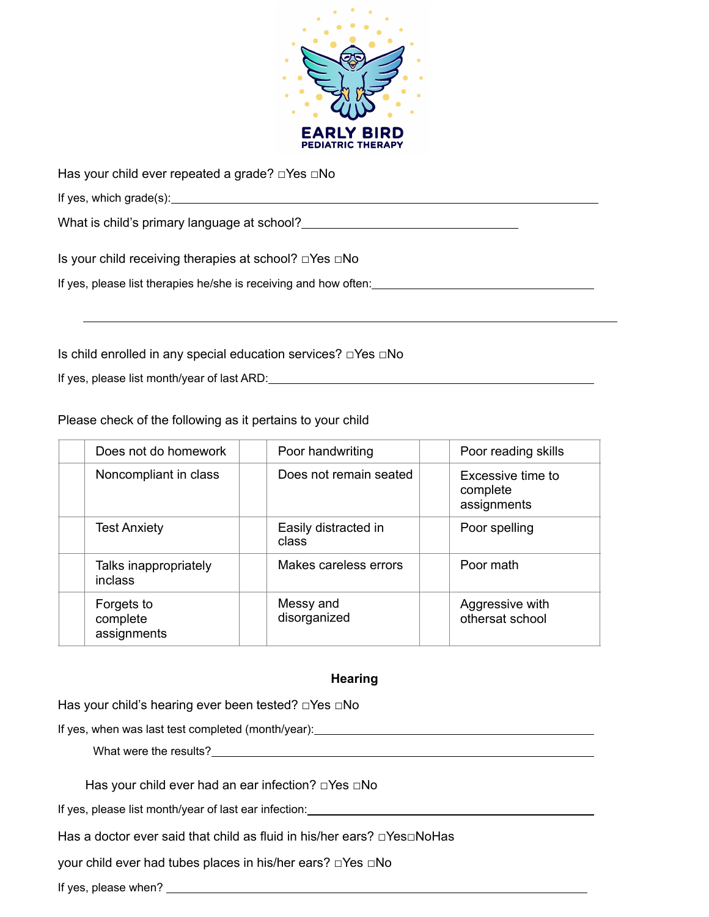

Has your child ever repeated a grade? □Yes □No

If yes, which grade(s):

What is child's primary language at school?<br>
<u>Example 2001</u>

Is your child receiving therapies at school? □Yes □No

If yes, please list therapies he/she is receiving and how often:<br>
<u>If</u> yes, please list therapies he/she is receiving and how often:

Is child enrolled in any special education services? □Yes □No

If yes, please list month/year of last ARD:

Please check of the following as it pertains to your child

| Does not do homework                  | Poor handwriting              | Poor reading skills                          |
|---------------------------------------|-------------------------------|----------------------------------------------|
| Noncompliant in class                 | Does not remain seated        | Excessive time to<br>complete<br>assignments |
| <b>Test Anxiety</b>                   | Easily distracted in<br>class | Poor spelling                                |
| Talks inappropriately<br>inclass      | Makes careless errors         | Poor math                                    |
| Forgets to<br>complete<br>assignments | Messy and<br>disorganized     | Aggressive with<br>othersat school           |

## **Hearing**

Has your child's hearing ever been tested? □Yes □No

If yes, when was last test completed (month/year):

What were the results?

Has your child ever had an ear infection? □Yes □No

If yes, please list month/year of last ear infection:

Has a doctor ever said that child as fluid in his/her ears? □Yes□NoHas

your child ever had tubes places in his/her ears? □Yes □No

If yes, please when?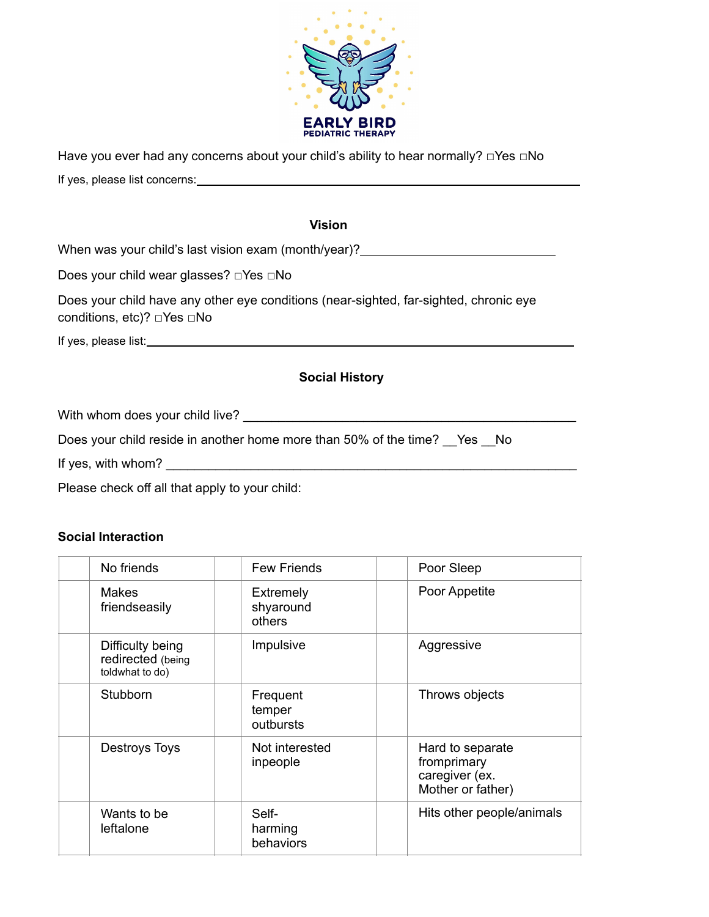

Have you ever had any concerns about your child's ability to hear normally? □Yes □No

If yes, please list concerns:

### **Vision**

When was your child's last vision exam (month/year)?

Does your child wear glasses? □Yes □No

Does your child have any other eye conditions (near-sighted, far-sighted, chronic eye conditions, etc)? □Yes □No

If yes, please list:

## **Social History**

With whom does your child live?

Does your child reside in another home more than 50% of the time? Yes No

If yes, with whom? \_\_\_\_\_\_\_\_\_\_\_\_\_\_\_\_\_\_\_\_\_\_\_\_\_\_\_\_\_\_\_\_\_\_\_\_\_\_\_\_\_\_\_\_\_\_\_\_\_\_\_\_\_\_\_\_\_\_

Please check off all that apply to your child:

#### **Social Interaction**

| No friends                                               | <b>Few Friends</b>               | Poor Sleep                                                             |
|----------------------------------------------------------|----------------------------------|------------------------------------------------------------------------|
| <b>Makes</b><br>friendseasily                            | Extremely<br>shyaround<br>others | Poor Appetite                                                          |
| Difficulty being<br>redirected (being<br>toldwhat to do) | Impulsive                        | Aggressive                                                             |
| Stubborn                                                 | Frequent<br>temper<br>outbursts  | Throws objects                                                         |
| <b>Destroys Toys</b>                                     | Not interested<br>inpeople       | Hard to separate<br>fromprimary<br>caregiver (ex.<br>Mother or father) |
| Wants to be<br>leftalone                                 | Self-<br>harming<br>behaviors    | Hits other people/animals                                              |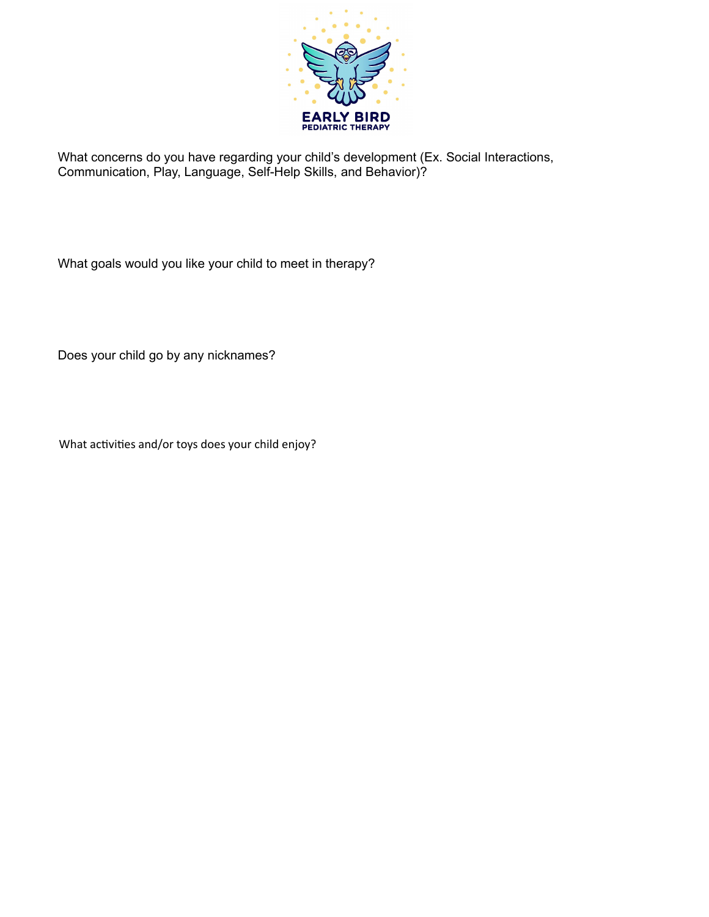

What concerns do you have regarding your child's development (Ex. Social Interactions, Communication, Play, Language, Self-Help Skills, and Behavior)?

What goals would you like your child to meet in therapy?

Does your child go by any nicknames?

What activities and/or toys does your child enjoy?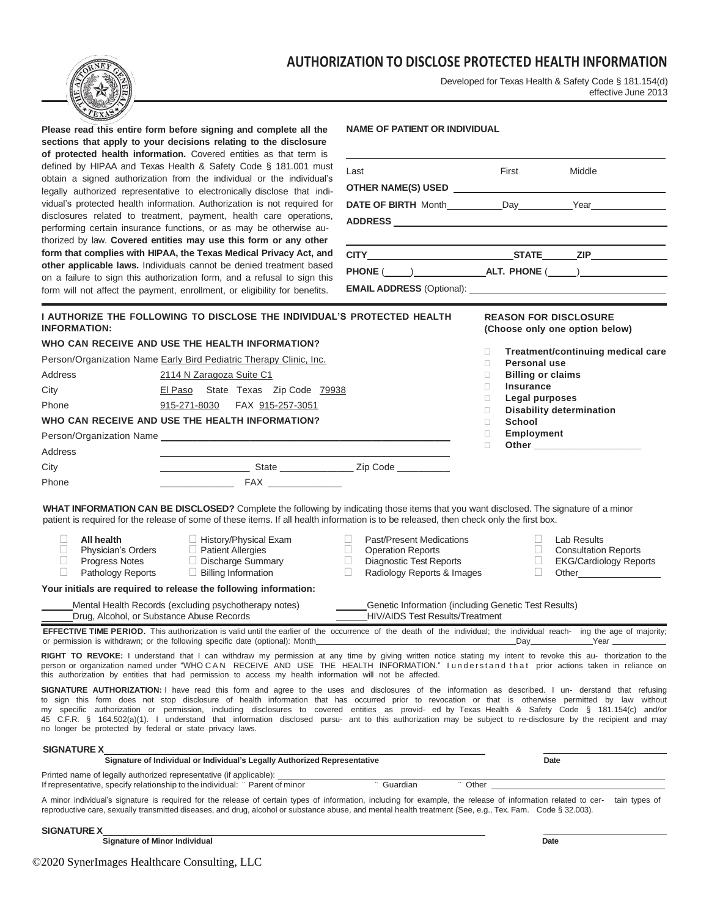# **AUTHORIZATION TO DISCLOSE PROTECTED HEALTH INFORMATION**



Developed for Texas Health & Safety Code § 181.154(d) effective June 2013

| TEXAS                                                                                                                                                                                                                                                                                                                                                                                                                                                                                                                                                                                                                                                                                        | Please read this entire form before signing and complete all the<br>sections that apply to your decisions relating to the disclosure<br>of protected health information. Covered entities as that term is<br>defined by HIPAA and Texas Health & Safety Code § 181.001 must<br>obtain a signed authorization from the individual or the individual's<br>legally authorized representative to electronically disclose that indi-<br>vidual's protected health information. Authorization is not required for<br>disclosures related to treatment, payment, health care operations, | <b>NAME OF PATIENT OR INDIVIDUAL</b><br>Last                                                                                                                              | First<br>Middle                                                                                                                                                                                                                                                                                                                                   |  |
|----------------------------------------------------------------------------------------------------------------------------------------------------------------------------------------------------------------------------------------------------------------------------------------------------------------------------------------------------------------------------------------------------------------------------------------------------------------------------------------------------------------------------------------------------------------------------------------------------------------------------------------------------------------------------------------------|-----------------------------------------------------------------------------------------------------------------------------------------------------------------------------------------------------------------------------------------------------------------------------------------------------------------------------------------------------------------------------------------------------------------------------------------------------------------------------------------------------------------------------------------------------------------------------------|---------------------------------------------------------------------------------------------------------------------------------------------------------------------------|---------------------------------------------------------------------------------------------------------------------------------------------------------------------------------------------------------------------------------------------------------------------------------------------------------------------------------------------------|--|
|                                                                                                                                                                                                                                                                                                                                                                                                                                                                                                                                                                                                                                                                                              | performing certain insurance functions, or as may be otherwise au-<br>thorized by law. Covered entities may use this form or any other                                                                                                                                                                                                                                                                                                                                                                                                                                            |                                                                                                                                                                           |                                                                                                                                                                                                                                                                                                                                                   |  |
|                                                                                                                                                                                                                                                                                                                                                                                                                                                                                                                                                                                                                                                                                              | form that complies with HIPAA, the Texas Medical Privacy Act, and                                                                                                                                                                                                                                                                                                                                                                                                                                                                                                                 |                                                                                                                                                                           |                                                                                                                                                                                                                                                                                                                                                   |  |
|                                                                                                                                                                                                                                                                                                                                                                                                                                                                                                                                                                                                                                                                                              | other applicable laws. Individuals cannot be denied treatment based<br>on a failure to sign this authorization form, and a refusal to sign this                                                                                                                                                                                                                                                                                                                                                                                                                                   |                                                                                                                                                                           |                                                                                                                                                                                                                                                                                                                                                   |  |
|                                                                                                                                                                                                                                                                                                                                                                                                                                                                                                                                                                                                                                                                                              | form will not affect the payment, enrollment, or eligibility for benefits.                                                                                                                                                                                                                                                                                                                                                                                                                                                                                                        |                                                                                                                                                                           |                                                                                                                                                                                                                                                                                                                                                   |  |
| <b>INFORMATION:</b>                                                                                                                                                                                                                                                                                                                                                                                                                                                                                                                                                                                                                                                                          | I AUTHORIZE THE FOLLOWING TO DISCLOSE THE INDIVIDUAL'S PROTECTED HEALTH                                                                                                                                                                                                                                                                                                                                                                                                                                                                                                           |                                                                                                                                                                           | <b>REASON FOR DISCLOSURE</b><br>(Choose only one option below)                                                                                                                                                                                                                                                                                    |  |
|                                                                                                                                                                                                                                                                                                                                                                                                                                                                                                                                                                                                                                                                                              | WHO CAN RECEIVE AND USE THE HEALTH INFORMATION?                                                                                                                                                                                                                                                                                                                                                                                                                                                                                                                                   |                                                                                                                                                                           | Treatment/continuing medical care<br>П.                                                                                                                                                                                                                                                                                                           |  |
|                                                                                                                                                                                                                                                                                                                                                                                                                                                                                                                                                                                                                                                                                              | Person/Organization Name Early Bird Pediatric Therapy Clinic, Inc.                                                                                                                                                                                                                                                                                                                                                                                                                                                                                                                |                                                                                                                                                                           | <b>Personal use</b><br>П.                                                                                                                                                                                                                                                                                                                         |  |
| Address                                                                                                                                                                                                                                                                                                                                                                                                                                                                                                                                                                                                                                                                                      | 2114 N Zaragoza Suite C1                                                                                                                                                                                                                                                                                                                                                                                                                                                                                                                                                          |                                                                                                                                                                           | <b>Billing or claims</b><br>П.                                                                                                                                                                                                                                                                                                                    |  |
| City                                                                                                                                                                                                                                                                                                                                                                                                                                                                                                                                                                                                                                                                                         | El Paso State Texas Zip Code 79938                                                                                                                                                                                                                                                                                                                                                                                                                                                                                                                                                |                                                                                                                                                                           | <b>Insurance</b><br>П.<br>Legal purposes<br>$\Box$                                                                                                                                                                                                                                                                                                |  |
| Phone                                                                                                                                                                                                                                                                                                                                                                                                                                                                                                                                                                                                                                                                                        | 915-271-8030<br>FAX 915-257-3051                                                                                                                                                                                                                                                                                                                                                                                                                                                                                                                                                  |                                                                                                                                                                           | <b>Disability determination</b><br>$\Box$                                                                                                                                                                                                                                                                                                         |  |
|                                                                                                                                                                                                                                                                                                                                                                                                                                                                                                                                                                                                                                                                                              | WHO CAN RECEIVE AND USE THE HEALTH INFORMATION?                                                                                                                                                                                                                                                                                                                                                                                                                                                                                                                                   |                                                                                                                                                                           | School<br>$\Box$                                                                                                                                                                                                                                                                                                                                  |  |
|                                                                                                                                                                                                                                                                                                                                                                                                                                                                                                                                                                                                                                                                                              |                                                                                                                                                                                                                                                                                                                                                                                                                                                                                                                                                                                   |                                                                                                                                                                           | Employment<br>$\Box$<br>Other the contract of the contract of the contract of the contract of the contract of the contract of the contract of the contract of the contract of the contract of the contract of the contract of the contract of the cont<br>П.                                                                                      |  |
| Address                                                                                                                                                                                                                                                                                                                                                                                                                                                                                                                                                                                                                                                                                      | the control of the control of the control of                                                                                                                                                                                                                                                                                                                                                                                                                                                                                                                                      |                                                                                                                                                                           |                                                                                                                                                                                                                                                                                                                                                   |  |
| City                                                                                                                                                                                                                                                                                                                                                                                                                                                                                                                                                                                                                                                                                         | ___________________________State _______________________Zip Code ______________                                                                                                                                                                                                                                                                                                                                                                                                                                                                                                   |                                                                                                                                                                           |                                                                                                                                                                                                                                                                                                                                                   |  |
| Phone                                                                                                                                                                                                                                                                                                                                                                                                                                                                                                                                                                                                                                                                                        |                                                                                                                                                                                                                                                                                                                                                                                                                                                                                                                                                                                   |                                                                                                                                                                           |                                                                                                                                                                                                                                                                                                                                                   |  |
|                                                                                                                                                                                                                                                                                                                                                                                                                                                                                                                                                                                                                                                                                              | WHAT INFORMATION CAN BE DISCLOSED? Complete the following by indicating those items that you want disclosed. The signature of a minor<br>patient is required for the release of some of these items. If all health information is to be released, then check only the first box.                                                                                                                                                                                                                                                                                                  |                                                                                                                                                                           |                                                                                                                                                                                                                                                                                                                                                   |  |
| П<br>All health<br>$\Box$<br>Physician's Orders<br>$\Box$<br>Progress Notes<br>П<br>Pathology Reports                                                                                                                                                                                                                                                                                                                                                                                                                                                                                                                                                                                        | History/Physical Exam<br><b>Patient Allergies</b><br>Discharge Summary<br>$\Box$ Billing Information                                                                                                                                                                                                                                                                                                                                                                                                                                                                              | $\Box$<br><b>Past/Present Medications</b><br>$\Box$<br><b>Operation Reports</b><br>$\Box$<br><b>Diagnostic Test Reports</b><br>$\mathbb{R}$<br>Radiology Reports & Images | $\Box$<br>Lab Results<br>П.<br><b>Consultation Reports</b><br>$\Box$<br><b>EKG/Cardiology Reports</b><br>$\Box$<br>Other the contract of the contract of the contract of the contract of the contract of the contract of the contract of the contract of the contract of the contract of the contract of the contract of the contract of the cont |  |
|                                                                                                                                                                                                                                                                                                                                                                                                                                                                                                                                                                                                                                                                                              | Your initials are required to release the following information:                                                                                                                                                                                                                                                                                                                                                                                                                                                                                                                  |                                                                                                                                                                           |                                                                                                                                                                                                                                                                                                                                                   |  |
|                                                                                                                                                                                                                                                                                                                                                                                                                                                                                                                                                                                                                                                                                              | Mental Health Records (excluding psychotherapy notes)<br>Drug, Alcohol, or Substance Abuse Records                                                                                                                                                                                                                                                                                                                                                                                                                                                                                | Genetic Information (including Genetic Test Results)<br><b>HIV/AIDS Test Results/Treatment</b>                                                                            |                                                                                                                                                                                                                                                                                                                                                   |  |
|                                                                                                                                                                                                                                                                                                                                                                                                                                                                                                                                                                                                                                                                                              | or permission is withdrawn; or the following specific date (optional): Month                                                                                                                                                                                                                                                                                                                                                                                                                                                                                                      |                                                                                                                                                                           | EFFECTIVE TIME PERIOD. This authorization is valid until the earlier of the occurrence of the death of the individual; the individual reach- ing the age of majority;<br>Day<br>Year                                                                                                                                                              |  |
| RIGHT TO REVOKE: I understand that I can withdraw my permission at any time by giving written notice stating my intent to revoke this au- thorization to the<br>person or organization named under "WHOCAN RECEIVE AND USE THE HEALTH INFORMATION." I understand that prior actions taken in reliance on<br>this authorization by entities that had permission to access my health information will not be affected.                                                                                                                                                                                                                                                                         |                                                                                                                                                                                                                                                                                                                                                                                                                                                                                                                                                                                   |                                                                                                                                                                           |                                                                                                                                                                                                                                                                                                                                                   |  |
| SIGNATURE AUTHORIZATION: I have read this form and agree to the uses and disclosures of the information as described. I un- derstand that refusing<br>to sign this form does not stop disclosure of health information that has occurred prior to revocation or that is otherwise permitted by law without<br>my specific authorization or permission, including disclosures to covered entities as provid- ed by Texas Health & Safety Code § 181.154(c) and/or<br>45 C.F.R. § 164.502(a)(1). I understand that information disclosed pursu- ant to this authorization may be subject to re-disclosure by the recipient and may<br>no longer be protected by federal or state privacy laws. |                                                                                                                                                                                                                                                                                                                                                                                                                                                                                                                                                                                   |                                                                                                                                                                           |                                                                                                                                                                                                                                                                                                                                                   |  |
| <b>SIGNATURE X</b>                                                                                                                                                                                                                                                                                                                                                                                                                                                                                                                                                                                                                                                                           |                                                                                                                                                                                                                                                                                                                                                                                                                                                                                                                                                                                   |                                                                                                                                                                           |                                                                                                                                                                                                                                                                                                                                                   |  |
|                                                                                                                                                                                                                                                                                                                                                                                                                                                                                                                                                                                                                                                                                              | Signature of Individual or Individual's Legally Authorized Representative                                                                                                                                                                                                                                                                                                                                                                                                                                                                                                         |                                                                                                                                                                           | Date                                                                                                                                                                                                                                                                                                                                              |  |
|                                                                                                                                                                                                                                                                                                                                                                                                                                                                                                                                                                                                                                                                                              | Printed name of legally authorized representative (if applicable): _<br>If representative, specify relationship to the individual: "Parent of minor                                                                                                                                                                                                                                                                                                                                                                                                                               | Guardian                                                                                                                                                                  | Other                                                                                                                                                                                                                                                                                                                                             |  |
|                                                                                                                                                                                                                                                                                                                                                                                                                                                                                                                                                                                                                                                                                              | reproductive care, sexually transmitted diseases, and drug, alcohol or substance abuse, and mental health treatment (See, e.g., Tex. Fam. Code § 32.003).                                                                                                                                                                                                                                                                                                                                                                                                                         |                                                                                                                                                                           | A minor individual's signature is required for the release of certain types of information, including for example, the release of information related to cer- tain types of                                                                                                                                                                       |  |

**SIGNATURE X**

*Signature* **of Minor Individual Date Control of Minor Individual Date Date Control of Minor Individual Date**